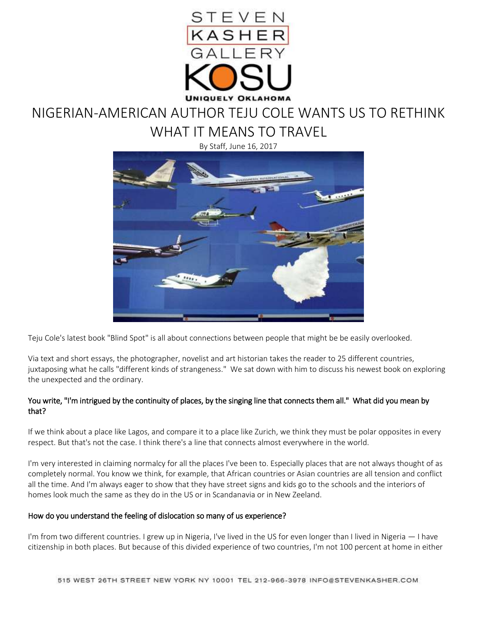

## NIGERIAN-AMERICAN AUTHOR TEJU COLE WANTS US TO RETHINK WHAT IT MEANS TO TRAVEL

By Staff, June 16, 2017



Teju Cole's latest book "Blind Spot" is all about connections between people that might be be easily overlooked.

Via text and short essays, the photographer, novelist and art historian takes the reader to 25 different countries, juxtaposing what he calls "different kinds of strangeness." We sat down with him to discuss his newest book on exploring the unexpected and the ordinary.

## You write, "I'm intrigued by the continuity of places, by the singing line that connects them all." What did you mean by that?

If we think about a place like Lagos, and compare it to a place like Zurich, we think they must be polar opposites in every respect. But that's not the case. I think there's a line that connects almost everywhere in the world.

I'm very interested in claiming normalcy for all the places I've been to. Especially places that are not always thought of as completely normal. You know we think, for example, that African countries or Asian countries are all tension and conflict all the time. And I'm always eager to show that they have street signs and kids go to the schools and the interiors of homes look much the same as they do in the US or in Scandanavia or in New Zeeland.

## How do you understand the feeling of dislocation so many of us experience?

I'm from two different countries. I grew up in Nigeria, I've lived in the US for even longer than I lived in Nigeria — I have citizenship in both places. But because of this divided experience of two countries, I'm not 100 percent at home in either